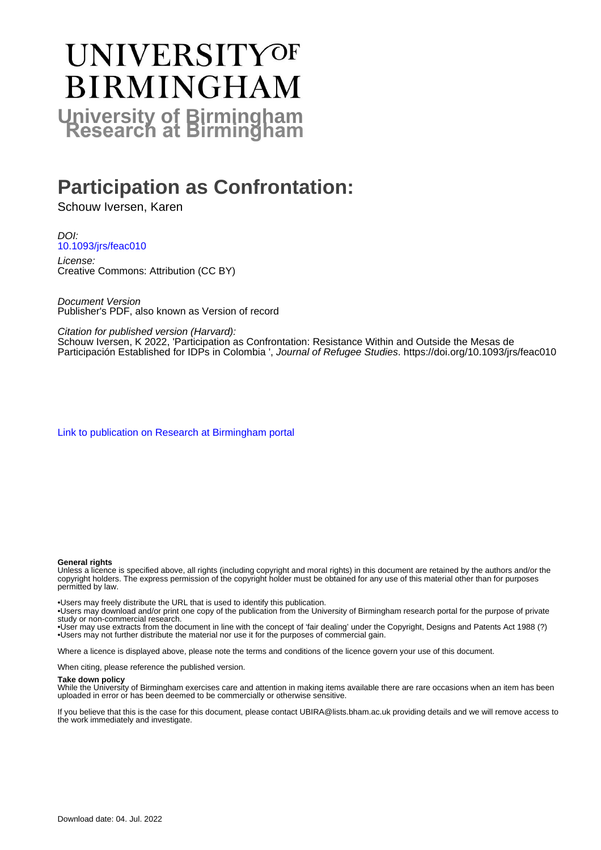# **UNIVERSITYOF BIRMINGHAM University of Birmingham**

## **Participation as Confrontation:**

Schouw Iversen, Karen

DOI: [10.1093/jrs/feac010](https://doi.org/10.1093/jrs/feac010)

License: Creative Commons: Attribution (CC BY)

Document Version Publisher's PDF, also known as Version of record

Citation for published version (Harvard):

Schouw Iversen, K 2022, 'Participation as Confrontation: Resistance Within and Outside the Mesas de Participación Established for IDPs in Colombia ', Journal of Refugee Studies. <https://doi.org/10.1093/jrs/feac010>

[Link to publication on Research at Birmingham portal](https://birmingham.elsevierpure.com/en/publications/58eb5382-9d66-4a6b-ade0-4d0318830689)

#### **General rights**

Unless a licence is specified above, all rights (including copyright and moral rights) in this document are retained by the authors and/or the copyright holders. The express permission of the copyright holder must be obtained for any use of this material other than for purposes permitted by law.

• Users may freely distribute the URL that is used to identify this publication.

• Users may download and/or print one copy of the publication from the University of Birmingham research portal for the purpose of private study or non-commercial research.

• User may use extracts from the document in line with the concept of 'fair dealing' under the Copyright, Designs and Patents Act 1988 (?) • Users may not further distribute the material nor use it for the purposes of commercial gain.

Where a licence is displayed above, please note the terms and conditions of the licence govern your use of this document.

When citing, please reference the published version.

#### **Take down policy**

While the University of Birmingham exercises care and attention in making items available there are rare occasions when an item has been uploaded in error or has been deemed to be commercially or otherwise sensitive.

If you believe that this is the case for this document, please contact UBIRA@lists.bham.ac.uk providing details and we will remove access to the work immediately and investigate.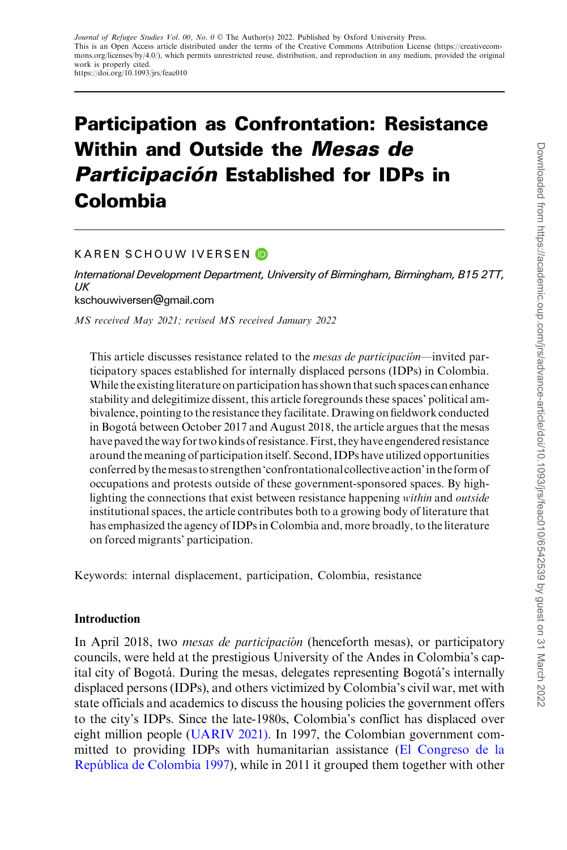### Participation as Confrontation: Resistance Within and Outside the Mesas de **Participación Established for IDPs in** Colombia

#### KAREN SCHOUW IVERSEN

International Development Department, University of Birmingham, Birmingham, B15 2TT, UK kschouwiversen@gmail.com

MS received May 2021; revised MS received January 2022

This article discusses resistance related to the *mesas de participación*—invited participatory spaces established for internally displaced persons (IDPs) in Colombia. While the existing literature on participation has shown that such spaces can enhance stability and delegitimize dissent, this article foregrounds these spaces' political ambivalence, pointing to the resistance they facilitate. Drawing on fieldwork conducted in Bogota´ between October 2017 and August 2018, the article argues that the mesas have paved theway for two kinds of resistance.First, they have engendered resistance around the meaning of participation itself. Second, IDPs have utilized opportunities conferred by themesas to strengthen'confrontational collective action'in the form of occupations and protests outside of these government-sponsored spaces. By highlighting the connections that exist between resistance happening within and outside institutional spaces, the article contributes both to a growing body of literature that has emphasized the agency of IDPs in Colombia and, more broadly, to the literature on forced migrants' participation.

Keywords: internal displacement, participation, Colombia, resistance

#### Introduction

In April 2018, two *mesas de participación* (henceforth mesas), or participatory councils, were held at the prestigious University of the Andes in Colombia's capital city of Bogotá. During the mesas, delegates representing Bogotá's internally displaced persons (IDPs), and others victimized by Colombia's civil war, met with state officials and academics to discuss the housing policies the government offers to the city's IDPs. Since the late-1980s, Colombia's conflict has displaced over eight million people ([UARIV 2021\).](#page-16-0) In 1997, the Colombian government committed to providing IDPs with humanitarian assistance ([El Congreso de la](#page-15-0) [Repu´blica de Colombia 1997](#page-15-0)), while in 2011 it grouped them together with other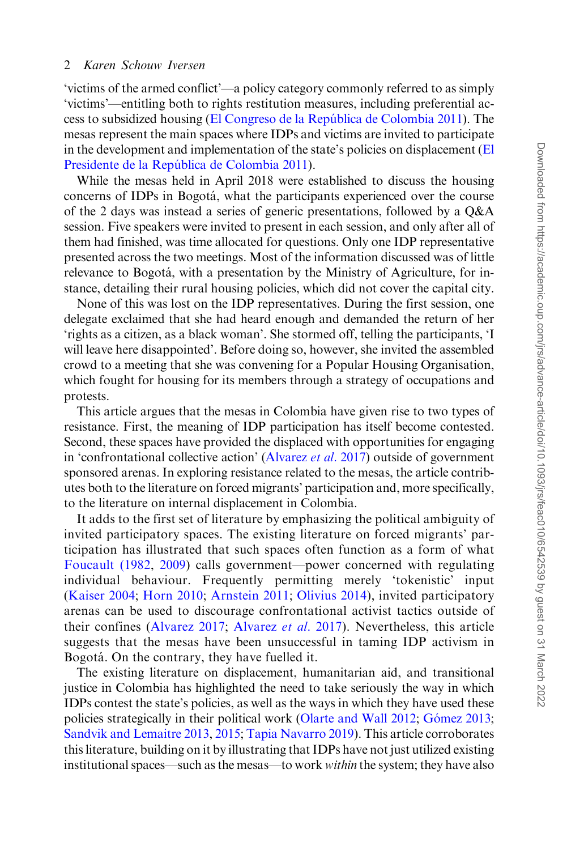'victims of the armed conflict'—a policy category commonly referred to as simply 'victims'—entitling both to rights restitution measures, including preferential access to subsidized housing ([El Congreso de la Repu´blica de Colombia 2011](#page-15-0)). The mesas represent the main spaces where IDPs and victims are invited to participate in the development and implementation of the state's policies on displacement ([El](#page-15-0) Presidente de la República de Colombia 2011).

While the mesas held in April 2018 were established to discuss the housing concerns of IDPs in Bogota´, what the participants experienced over the course of the 2 days was instead a series of generic presentations, followed by a Q&A session. Five speakers were invited to present in each session, and only after all of them had finished, was time allocated for questions. Only one IDP representative presented across the two meetings. Most of the information discussed was of little relevance to Bogotá, with a presentation by the Ministry of Agriculture, for instance, detailing their rural housing policies, which did not cover the capital city.

None of this was lost on the IDP representatives. During the first session, one delegate exclaimed that she had heard enough and demanded the return of her 'rights as a citizen, as a black woman'. She stormed off, telling the participants, 'I will leave here disappointed'. Before doing so, however, she invited the assembled crowd to a meeting that she was convening for a Popular Housing Organisation, which fought for housing for its members through a strategy of occupations and protests.

This article argues that the mesas in Colombia have given rise to two types of resistance. First, the meaning of IDP participation has itself become contested. Second, these spaces have provided the displaced with opportunities for engaging in 'confrontational collective action' [\(Alvarez](#page-14-0) et al. 2017) outside of government sponsored arenas. In exploring resistance related to the mesas, the article contributes both to the literature on forced migrants' participation and, more specifically, to the literature on internal displacement in Colombia.

It adds to the first set of literature by emphasizing the political ambiguity of invited participatory spaces. The existing literature on forced migrants' participation has illustrated that such spaces often function as a form of what [Foucault \(1982,](#page-15-0) [2009](#page-15-0)) calls government—power concerned with regulating individual behaviour. Frequently permitting merely 'tokenistic' input [\(Kaiser 2004;](#page-15-0) [Horn 2010;](#page-15-0) [Arnstein 2011;](#page-14-0) [Olivius 2014](#page-16-0)), invited participatory arenas can be used to discourage confrontational activist tactics outside of their confines ([Alvarez 2017;](#page-14-0) [Alvarez](#page-14-0) et al. 2017). Nevertheless, this article suggests that the mesas have been unsuccessful in taming IDP activism in Bogotá. On the contrary, they have fuelled it.

The existing literature on displacement, humanitarian aid, and transitional justice in Colombia has highlighted the need to take seriously the way in which IDPs contest the state's policies, as well as the ways in which they have used these policies strategically in their political work [\(Olarte and Wall 2012;](#page-16-0) Gómez 2013; [Sandvik and Lemaitre 2013](#page-16-0), [2015;](#page-16-0) [Tapia Navarro 2019](#page-16-0)). This article corroborates this literature, building on it by illustrating that IDPs have not just utilized existing institutional spaces—such as the mesas—to work *within* the system; they have also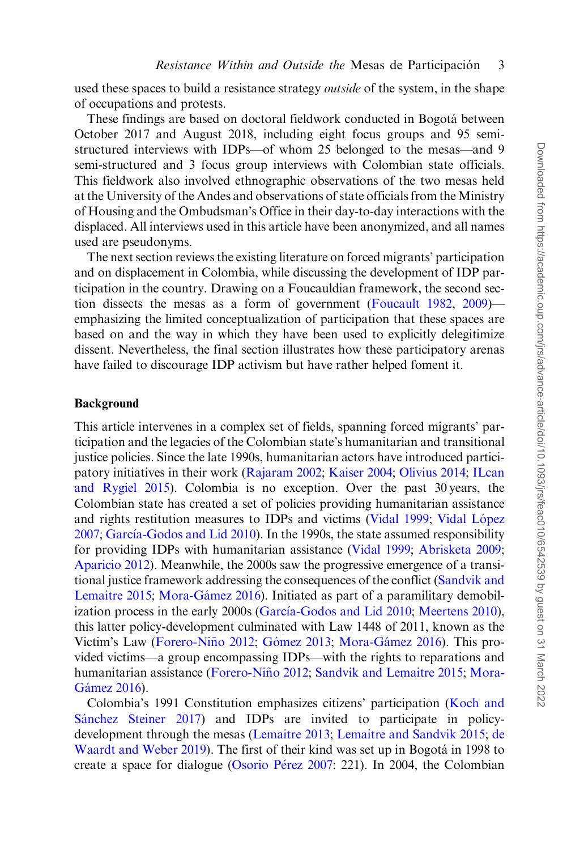used these spaces to build a resistance strategy *outside* of the system, in the shape of occupations and protests.

These findings are based on doctoral fieldwork conducted in Bogotá between October 2017 and August 2018, including eight focus groups and 95 semistructured interviews with IDPs—of whom 25 belonged to the mesas—and 9 semi-structured and 3 focus group interviews with Colombian state officials. This fieldwork also involved ethnographic observations of the two mesas held at the University of the Andes and observations of state officials from the Ministry of Housing and the Ombudsman's Office in their day-to-day interactions with the displaced. All interviews used in this article have been anonymized, and all names used are pseudonyms.

The next section reviews the existing literature on forced migrants' participation and on displacement in Colombia, while discussing the development of IDP participation in the country. Drawing on a Foucauldian framework, the second section dissects the mesas as a form of government ([Foucault 1982,](#page-15-0) [2009\)](#page-15-0) emphasizing the limited conceptualization of participation that these spaces are based on and the way in which they have been used to explicitly delegitimize dissent. Nevertheless, the final section illustrates how these participatory arenas have failed to discourage IDP activism but have rather helped foment it.

#### Background

This article intervenes in a complex set of fields, spanning forced migrants' participation and the legacies of the Colombian state's humanitarian and transitional justice policies. Since the late 1990s, humanitarian actors have introduced participatory initiatives in their work [\(Rajaram 2002](#page-16-0); [Kaiser 2004](#page-15-0); [Olivius 2014;](#page-16-0) [ILcan](#page-15-0) [and Rygiel 2015](#page-15-0)). Colombia is no exception. Over the past 30 years, the Colombian state has created a set of policies providing humanitarian assistance and rights restitution measures to IDPs and victims ([Vidal 1999;](#page-17-0) Vidal López [2007;](#page-17-0) [Garc](#page-15-0)ía-Godos and Lid 2010). In the 1990s, the state assumed responsibility for providing IDPs with humanitarian assistance [\(Vidal 1999](#page-17-0); [Abrisketa 2009](#page-14-0); [Aparicio 2012\)](#page-14-0). Meanwhile, the 2000s saw the progressive emergence of a transitional justice framework addressing the consequences of the conflict [\(Sandvik and](#page-16-0) [Lemaitre 2015](#page-16-0); Mora-Gámez 2016). Initiated as part of a paramilitary demobil-ization process in the early 2000s ([Garc](#page-15-0)ía-Godos and Lid 2010; [Meertens 2010](#page-16-0)), this latter policy-development culminated with Law 1448 of 2011, known as the Victim's Law (Forero-Niño 2012; Gómez 2013; Mora-Gámez 2016). This provided victims—a group encompassing IDPs—with the rights to reparations and humanitarian assistance (Forero-Niño 2012; [Sandvik and Lemaitre 2015](#page-16-0); [Mora-](#page-16-0)Gámez 2016).

Colombia's 1991 Constitution emphasizes citizens' participation ([Koch and](#page-15-0) Sánchez Steiner 2017) and IDPs are invited to participate in policydevelopment through the mesas [\(Lemaitre 2013;](#page-15-0) [Lemaitre and Sandvik 2015;](#page-15-0) [de](#page-15-0) [Waardt and Weber 2019\)](#page-15-0). The first of their kind was set up in Bogotá in 1998 to create a space for dialogue [\(Osorio P](#page-16-0)é[rez 2007:](#page-16-0) 221). In 2004, the Colombian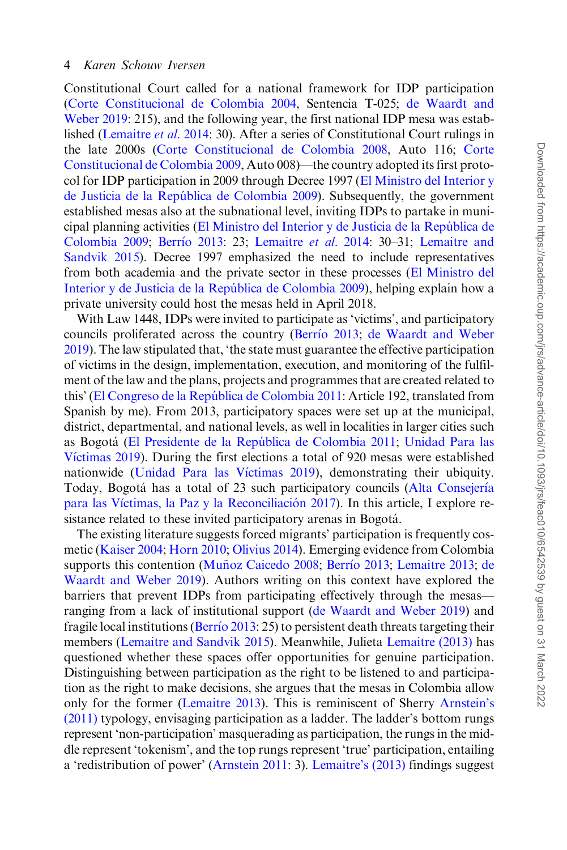Constitutional Court called for a national framework for IDP participation [\(Corte Constitucional de Colombia 2004](#page-15-0), Sentencia T-025; [de Waardt and](#page-17-0) [Weber 2019:](#page-17-0) 215), and the following year, the first national IDP mesa was established [\(Lemaitre](#page-15-0) et al. 2014: 30). After a series of Constitutional Court rulings in the late 2000s [\(Corte Constitucional de Colombia 2008](#page-15-0), Auto 116; [Corte](#page-15-0) [Constitucional de Colombia 2009,](#page-15-0) Auto 008)—the country adopted its first protocol for IDP participation in 2009 through Decree 1997 [\(El Ministro del Interior y](#page-15-0) [de Justicia de la Repu´blica de Colombia 2009\)](#page-15-0). Subsequently, the government established mesas also at the subnational level, inviting IDPs to partake in municipal planning activities [\(El Ministro del Interior y de Justicia de la Repu´blica de](#page-15-0) [Colombia 2009;](#page-15-0) [Berr](#page-14-0)ío 2013: 23; [Lemaitre](#page-15-0) et al. 2014: 30-31; [Lemaitre and](#page-15-0) [Sandvik 2015\)](#page-15-0). Decree 1997 emphasized the need to include representatives from both academia and the private sector in these processes [\(El Ministro del](#page-15-0) Interior y de Justicia de la República de Colombia 2009), helping explain how a private university could host the mesas held in April 2018.

With Law 1448, IDPs were invited to participate as 'victims', and participatory councils proliferated across the country ([Berr](#page-14-0)í[o 2013](#page-14-0); [de Waardt and Weber](#page-15-0) [2019\)](#page-15-0). The law stipulated that, 'the state must guarantee the effective participation of victims in the design, implementation, execution, and monitoring of the fulfilment of the law and the plans, projects and programmes that are created related to this' ([El Congreso de la Repu´blica de Colombia 2011](#page-15-0): Article 192, translated from Spanish by me). From 2013, participatory spaces were set up at the municipal, district, departmental, and national levels, as well in localities in larger cities such as Bogota´ ([El Presidente de la Repu´blica de Colombia 2011](#page-15-0); [Unidad Para las](#page-16-0) [V](#page-16-0)í[ctimas 2019\)](#page-16-0). During the first elections a total of 920 mesas were established nationwide [\(Unidad Para las V](#page-16-0)í[ctimas 2019\)](#page-16-0), demonstrating their ubiquity. Today, Bogotá has a total of 23 such participatory councils [\(Alta Consejer](#page-14-0)í[a](#page-14-0) [para las V](#page-14-0)íctimas, la Paz y la Reconciliación 2017). In this article, I explore resistance related to these invited participatory arenas in Bogotá.

The existing literature suggests forced migrants' participation is frequently cosmetic ([Kaiser 2004](#page-15-0); [Horn 2010;](#page-15-0) [Olivius 2014\)](#page-16-0). Emerging evidence from Colombia supports this contention (Muñoz Caicedo 2008; [Berr](#page-14-0)í[o 2013;](#page-14-0) [Lemaitre 2013](#page-15-0); [de](#page-15-0) [Waardt and Weber 2019](#page-15-0)). Authors writing on this context have explored the barriers that prevent IDPs from participating effectively through the mesas ranging from a lack of institutional support [\(de Waardt and Weber 2019](#page-15-0)) and fragile local institutions ([Berr](#page-14-0)í[o 2013:](#page-14-0) 25) to persistent death threats targeting their members [\(Lemaitre and Sandvik 2015](#page-15-0)). Meanwhile, Julieta [Lemaitre \(2013\)](#page-15-0) has questioned whether these spaces offer opportunities for genuine participation. Distinguishing between participation as the right to be listened to and participation as the right to make decisions, she argues that the mesas in Colombia allow only for the former [\(Lemaitre 2013\)](#page-15-0). This is reminiscent of Sherry [Arnstein's](#page-14-0) [\(2011\)](#page-14-0) typology, envisaging participation as a ladder. The ladder's bottom rungs represent 'non-participation' masquerading as participation, the rungs in the middle represent 'tokenism', and the top rungs represent 'true' participation, entailing a 'redistribution of power' [\(Arnstein 2011:](#page-14-0) 3). [Lemaitre's \(2013\)](#page-15-0) findings suggest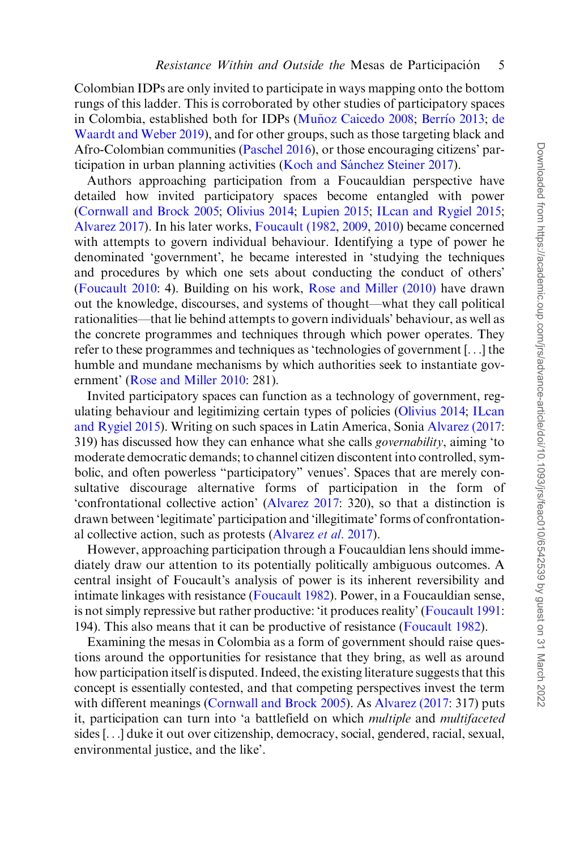Colombian IDPs are only invited to participate in ways mapping onto the bottom rungs of this ladder. This is corroborated by other studies of participatory spaces in Colombia, established both for IDPs (Muñoz Caicedo 2008; [Berr](#page-14-0)ío 2013; [de](#page-15-0) [Waardt and Weber 2019](#page-15-0)), and for other groups, such as those targeting black and Afro-Colombian communities ([Paschel 2016\)](#page-16-0), or those encouraging citizens' participation in urban planning activities (Koch and Sánchez Steiner 2017).

Authors approaching participation from a Foucauldian perspective have detailed how invited participatory spaces become entangled with power [\(Cornwall and Brock 2005;](#page-14-0) [Olivius 2014](#page-16-0); [Lupien 2015](#page-16-0); [ILcan and Rygiel 2015](#page-15-0); [Alvarez 2017\)](#page-14-0). In his later works, [Foucault \(1982](#page-15-0), [2009,](#page-15-0) [2010\)](#page-15-0) became concerned with attempts to govern individual behaviour. Identifying a type of power he denominated 'government', he became interested in 'studying the techniques and procedures by which one sets about conducting the conduct of others' [\(Foucault 2010](#page-15-0): 4). Building on his work, [Rose and Miller \(2010\)](#page-16-0) have drawn out the knowledge, discourses, and systems of thought—what they call political rationalities—that lie behind attempts to govern individuals' behaviour, as well as the concrete programmes and techniques through which power operates. They refer to these programmes and techniques as 'technologies of government [...] the humble and mundane mechanisms by which authorities seek to instantiate government' [\(Rose and Miller 2010:](#page-16-0) 281).

Invited participatory spaces can function as a technology of government, regulating behaviour and legitimizing certain types of policies [\(Olivius 2014](#page-16-0); [ILcan](#page-15-0) [and Rygiel 2015](#page-15-0)). Writing on such spaces in Latin America, Sonia [Alvarez \(2017](#page-14-0): 319) has discussed how they can enhance what she calls *governability*, aiming 'to moderate democratic demands; to channel citizen discontent into controlled, symbolic, and often powerless "participatory" venues'. Spaces that are merely consultative discourage alternative forms of participation in the form of 'confrontational collective action' ([Alvarez 2017:](#page-14-0) 320), so that a distinction is drawn between 'legitimate' participation and 'illegitimate' forms of confrontational collective action, such as protests [\(Alvarez](#page-14-0) et al. 2017).

However, approaching participation through a Foucauldian lens should immediately draw our attention to its potentially politically ambiguous outcomes. A central insight of Foucault's analysis of power is its inherent reversibility and intimate linkages with resistance ([Foucault 1982](#page-15-0)). Power, in a Foucauldian sense, is not simply repressive but rather productive: 'it produces reality' ([Foucault 1991](#page-15-0): 194). This also means that it can be productive of resistance ([Foucault 1982](#page-15-0)).

Examining the mesas in Colombia as a form of government should raise questions around the opportunities for resistance that they bring, as well as around how participation itself is disputed. Indeed, the existing literature suggests that this concept is essentially contested, and that competing perspectives invest the term with different meanings [\(Cornwall and Brock 2005\)](#page-14-0). As [Alvarez \(2017](#page-14-0): 317) puts it, participation can turn into 'a battlefield on which multiple and multifaceted sides [...] duke it out over citizenship, democracy, social, gendered, racial, sexual, environmental justice, and the like'.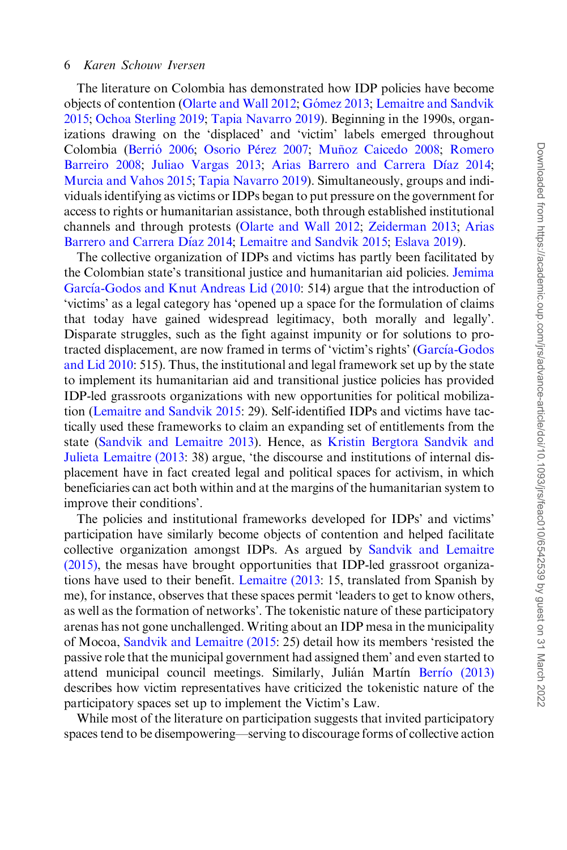The literature on Colombia has demonstrated how IDP policies have become objects of contention ([Olarte and Wall 2012](#page-16-0); Gómez 2013; [Lemaitre and Sandvik](#page-15-0) [2015;](#page-15-0) [Ochoa Sterling 2019;](#page-16-0) [Tapia Navarro 2019\)](#page-16-0). Beginning in the 1990s, organizations drawing on the 'displaced' and 'victim' labels emerged throughout Colombia (Berrió 2006; [Osorio P](#page-16-0)érez 2007; Muñoz Caicedo 2008; [Romero](#page-16-0) [Barreiro 2008](#page-16-0); [Juliao Vargas 2013;](#page-15-0) [Arias Barrero and Carrera D](#page-14-0)í[az 2014](#page-14-0); [Murcia and Vahos 2015;](#page-16-0) [Tapia Navarro 2019\)](#page-16-0). Simultaneously, groups and individuals identifying as victims or IDPs began to put pressure on the government for access to rights or humanitarian assistance, both through established institutional channels and through protests [\(Olarte and Wall 2012;](#page-16-0) [Zeiderman 2013;](#page-17-0) [Arias](#page-14-0) [Barrero and Carrera D](#page-14-0)í[az 2014](#page-14-0); [Lemaitre and Sandvik 2015](#page-15-0); [Eslava 2019\)](#page-15-0).

The collective organization of IDPs and victims has partly been facilitated by the Colombian state's transitional justice and humanitarian aid policies. [Jemima](#page-15-0) [Garc](#page-15-0)í[a-Godos and Knut Andreas Lid \(2010:](#page-15-0) 514) argue that the introduction of 'victims' as a legal category has 'opened up a space for the formulation of claims that today have gained widespread legitimacy, both morally and legally'. Disparate struggles, such as the fight against impunity or for solutions to pro-tracted displacement, are now framed in terms of 'victim's rights' ([Garc](#page-15-0)ía-Godos [and Lid 2010](#page-15-0): 515). Thus, the institutional and legal framework set up by the state to implement its humanitarian aid and transitional justice policies has provided IDP-led grassroots organizations with new opportunities for political mobilization ([Lemaitre and Sandvik 2015](#page-15-0): 29). Self-identified IDPs and victims have tactically used these frameworks to claim an expanding set of entitlements from the state [\(Sandvik and Lemaitre 2013](#page-16-0)). Hence, as [Kristin Bergtora Sandvik and](#page-15-0) [Julieta Lemaitre \(2013:](#page-15-0) 38) argue, 'the discourse and institutions of internal displacement have in fact created legal and political spaces for activism, in which beneficiaries can act both within and at the margins of the humanitarian system to improve their conditions'.

The policies and institutional frameworks developed for IDPs' and victims' participation have similarly become objects of contention and helped facilitate collective organization amongst IDPs. As argued by [Sandvik and Lemaitre](#page-16-0) [\(2015\),](#page-16-0) the mesas have brought opportunities that IDP-led grassroot organizations have used to their benefit. [Lemaitre \(2013:](#page-15-0) 15, translated from Spanish by me), for instance, observes that these spaces permit 'leaders to get to know others, as well as the formation of networks'. The tokenistic nature of these participatory arenas has not gone unchallenged. Writing about an IDP mesa in the municipality of Mocoa, [Sandvik and Lemaitre \(2015](#page-16-0): 25) detail how its members 'resisted the passive role that the municipal government had assigned them' and even started to attend municipal council meetings. Similarly, Julián Martín [Berr](#page-14-0)í[o \(2013\)](#page-14-0) describes how victim representatives have criticized the tokenistic nature of the participatory spaces set up to implement the Victim's Law.

While most of the literature on participation suggests that invited participatory spaces tend to be disempowering—serving to discourage forms of collective action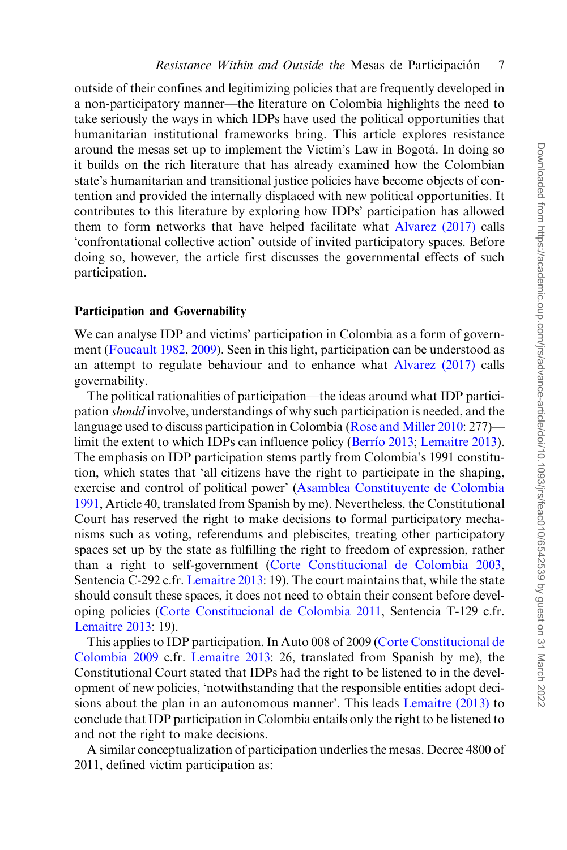outside of their confines and legitimizing policies that are frequently developed in a non-participatory manner—the literature on Colombia highlights the need to take seriously the ways in which IDPs have used the political opportunities that humanitarian institutional frameworks bring. This article explores resistance around the mesas set up to implement the Victim's Law in Bogota´. In doing so it builds on the rich literature that has already examined how the Colombian state's humanitarian and transitional justice policies have become objects of contention and provided the internally displaced with new political opportunities. It contributes to this literature by exploring how IDPs' participation has allowed them to form networks that have helped facilitate what [Alvarez \(2017\)](#page-14-0) calls 'confrontational collective action' outside of invited participatory spaces. Before doing so, however, the article first discusses the governmental effects of such participation.

#### Participation and Governability

We can analyse IDP and victims' participation in Colombia as a form of government ([Foucault 1982](#page-15-0), [2009](#page-15-0)). Seen in this light, participation can be understood as an attempt to regulate behaviour and to enhance what [Alvarez \(2017\)](#page-14-0) calls governability.

The political rationalities of participation—the ideas around what IDP participation should involve, understandings of why such participation is needed, and the language used to discuss participation in Colombia [\(Rose and Miller 2010](#page-16-0): 277)— limit the extent to which IDPs can influence policy [\(Berr](#page-14-0)ío 2013; [Lemaitre 2013](#page-15-0)). The emphasis on IDP participation stems partly from Colombia's 1991 constitution, which states that 'all citizens have the right to participate in the shaping, exercise and control of political power' ([Asamblea Constituyente de Colombia](#page-14-0) [1991,](#page-14-0) Article 40, translated from Spanish by me). Nevertheless, the Constitutional Court has reserved the right to make decisions to formal participatory mechanisms such as voting, referendums and plebiscites, treating other participatory spaces set up by the state as fulfilling the right to freedom of expression, rather than a right to self-government ([Corte Constitucional de Colombia 2003](#page-14-0), Sentencia C-292 c.fr. [Lemaitre 2013](#page-15-0): 19). The court maintains that, while the state should consult these spaces, it does not need to obtain their consent before developing policies [\(Corte Constitucional de Colombia 2011,](#page-15-0) Sentencia T-129 c.fr. [Lemaitre 2013](#page-15-0): 19).

This applies to IDP participation. In Auto 008 of 2009 [\(Corte Constitucional de](#page-15-0) [Colombia 2009](#page-15-0) c.fr. [Lemaitre 2013](#page-15-0): 26, translated from Spanish by me), the Constitutional Court stated that IDPs had the right to be listened to in the development of new policies, 'notwithstanding that the responsible entities adopt decisions about the plan in an autonomous manner'. This leads [Lemaitre \(2013\)](#page-15-0) to conclude that IDP participation in Colombia entails only the right to be listened to and not the right to make decisions.

A similar conceptualization of participation underlies the mesas. Decree 4800 of 2011, defined victim participation as: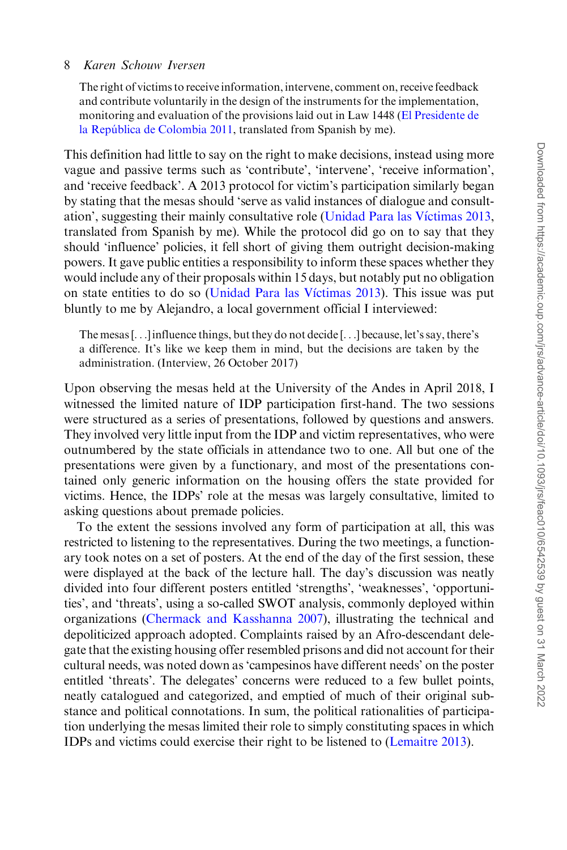The right of victims to receive information, intervene, comment on, receive feedback and contribute voluntarily in the design of the instruments for the implementation, monitoring and evaluation of the provisions laid out in Law 1448 [\(El Presidente de](#page-15-0) la República de Colombia 2011, translated from Spanish by me).

This definition had little to say on the right to make decisions, instead using more vague and passive terms such as 'contribute', 'intervene', 'receive information', and 'receive feedback'. A 2013 protocol for victim's participation similarly began by stating that the mesas should 'serve as valid instances of dialogue and consult-ation', suggesting their mainly consultative role [\(Unidad Para las V](#page-16-0)í[ctimas 2013](#page-16-0), translated from Spanish by me). While the protocol did go on to say that they should 'influence' policies, it fell short of giving them outright decision-making powers. It gave public entities a responsibility to inform these spaces whether they would include any of their proposals within 15 days, but notably put no obligation on state entities to do so ([Unidad Para las V](#page-16-0)í[ctimas 2013](#page-16-0)). This issue was put bluntly to me by Alejandro, a local government official I interviewed:

The mesas [...] influence things, but they do not decide [...] because, let's say, there's a difference. It's like we keep them in mind, but the decisions are taken by the administration. (Interview, 26 October 2017)

Upon observing the mesas held at the University of the Andes in April 2018, I witnessed the limited nature of IDP participation first-hand. The two sessions were structured as a series of presentations, followed by questions and answers. They involved very little input from the IDP and victim representatives, who were outnumbered by the state officials in attendance two to one. All but one of the presentations were given by a functionary, and most of the presentations contained only generic information on the housing offers the state provided for victims. Hence, the IDPs' role at the mesas was largely consultative, limited to asking questions about premade policies.

To the extent the sessions involved any form of participation at all, this was restricted to listening to the representatives. During the two meetings, a functionary took notes on a set of posters. At the end of the day of the first session, these were displayed at the back of the lecture hall. The day's discussion was neatly divided into four different posters entitled 'strengths', 'weaknesses', 'opportunities', and 'threats', using a so-called SWOT analysis, commonly deployed within organizations [\(Chermack and Kasshanna 2007](#page-14-0)), illustrating the technical and depoliticized approach adopted. Complaints raised by an Afro-descendant delegate that the existing housing offer resembled prisons and did not account for their cultural needs, was noted down as 'campesinos have different needs' on the poster entitled 'threats'. The delegates' concerns were reduced to a few bullet points, neatly catalogued and categorized, and emptied of much of their original substance and political connotations. In sum, the political rationalities of participation underlying the mesas limited their role to simply constituting spaces in which IDPs and victims could exercise their right to be listened to [\(Lemaitre 2013](#page-15-0)).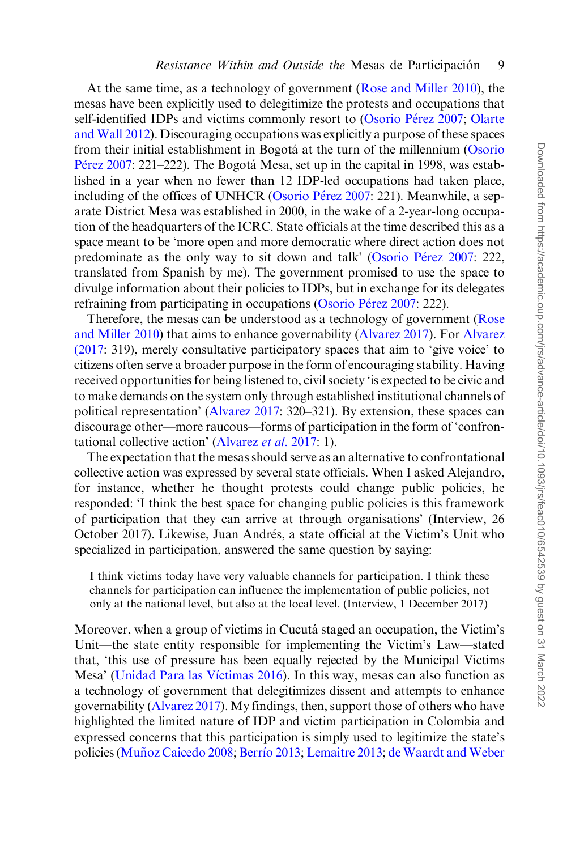At the same time, as a technology of government [\(Rose and Miller 2010](#page-16-0)), the mesas have been explicitly used to delegitimize the protests and occupations that self-identified IDPs and victims commonly resort to [\(Osorio P](#page-16-0)érez 2007; [Olarte](#page-16-0) [and Wall 2012](#page-16-0)). Discouraging occupations was explicitly a purpose of these spaces from their initial establishment in Bogotá at the turn of the millennium [\(Osorio](#page-16-0) [P](#page-16-0)érez 2007: 221–222). The Bogotá Mesa, set up in the capital in 1998, was established in a year when no fewer than 12 IDP-led occupations had taken place, including of the offices of UNHCR ([Osorio P](#page-16-0)érez 2007: 221). Meanwhile, a separate District Mesa was established in 2000, in the wake of a 2-year-long occupation of the headquarters of the ICRC. State officials at the time described this as a space meant to be 'more open and more democratic where direct action does not predominate as the only way to sit down and talk' [\(Osorio P](#page-16-0)érez 2007: 222, translated from Spanish by me). The government promised to use the space to divulge information about their policies to IDPs, but in exchange for its delegates refraining from participating in occupations [\(Osorio P](#page-16-0)é[rez 2007:](#page-16-0) 222).

Therefore, the mesas can be understood as a technology of government ([Rose](#page-16-0) [and Miller 2010](#page-16-0)) that aims to enhance governability [\(Alvarez 2017\)](#page-14-0). For [Alvarez](#page-14-0) [\(2017:](#page-14-0) 319), merely consultative participatory spaces that aim to 'give voice' to citizens often serve a broader purpose in the form of encouraging stability. Having received opportunities for being listened to, civil society 'is expected to be civic and to make demands on the system only through established institutional channels of political representation' [\(Alvarez 2017](#page-14-0): 320–321). By extension, these spaces can discourage other—more raucous—forms of participation in the form of 'confrontational collective action' [\(Alvarez](#page-14-0) et al. 2017: 1).

The expectation that the mesas should serve as an alternative to confrontational collective action was expressed by several state officials. When I asked Alejandro, for instance, whether he thought protests could change public policies, he responded: 'I think the best space for changing public policies is this framework of participation that they can arrive at through organisations' (Interview, 26 October 2017). Likewise, Juan Andrés, a state official at the Victim's Unit who specialized in participation, answered the same question by saying:

I think victims today have very valuable channels for participation. I think these channels for participation can influence the implementation of public policies, not only at the national level, but also at the local level. (Interview, 1 December 2017)

Moreover, when a group of victims in Cucutá staged an occupation, the Victim's Unit—the state entity responsible for implementing the Victim's Law—stated that, 'this use of pressure has been equally rejected by the Municipal Victims Mesa' ([Unidad Para las V](#page-16-0)íctimas 2016). In this way, mesas can also function as a technology of government that delegitimizes dissent and attempts to enhance governability [\(Alvarez 2017](#page-14-0)). My findings, then, support those of others who have highlighted the limited nature of IDP and victim participation in Colombia and expressed concerns that this participation is simply used to legitimize the state's policies [\(Mu](#page-16-0)ñ[oz Caicedo 2008](#page-16-0); [Berr](#page-14-0)í[o 2013;](#page-14-0) [Lemaitre 2013;](#page-15-0) [de Waardt and Weber](#page-15-0)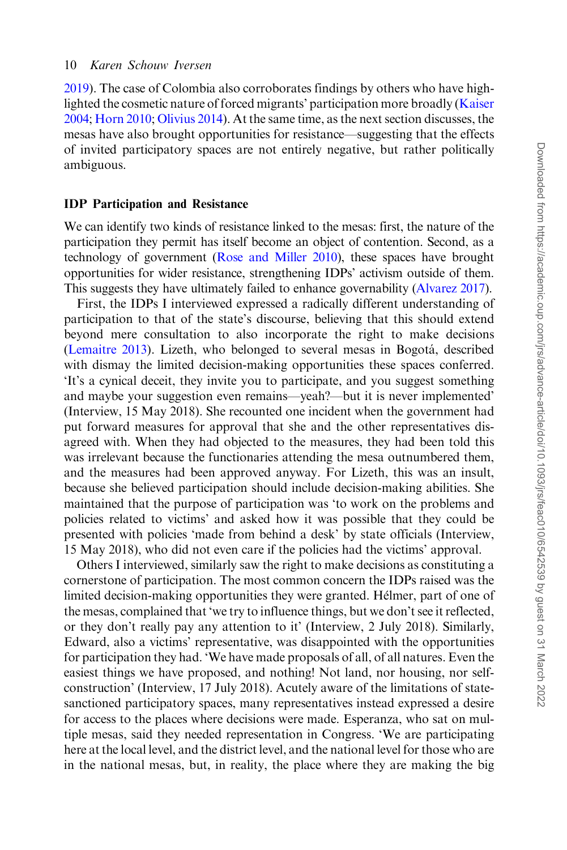[2019\)](#page-15-0). The case of Colombia also corroborates findings by others who have highlighted the cosmetic nature of forced migrants' participation more broadly [\(Kaiser](#page-15-0) [2004;](#page-15-0) [Horn 2010](#page-15-0); [Olivius 2014\)](#page-16-0). At the same time, as the next section discusses, the mesas have also brought opportunities for resistance—suggesting that the effects of invited participatory spaces are not entirely negative, but rather politically ambiguous.

#### IDP Participation and Resistance

We can identify two kinds of resistance linked to the mesas: first, the nature of the participation they permit has itself become an object of contention. Second, as a technology of government [\(Rose and Miller 2010](#page-16-0)), these spaces have brought opportunities for wider resistance, strengthening IDPs' activism outside of them. This suggests they have ultimately failed to enhance governability [\(Alvarez 2017\)](#page-14-0).

First, the IDPs I interviewed expressed a radically different understanding of participation to that of the state's discourse, believing that this should extend beyond mere consultation to also incorporate the right to make decisions [\(Lemaitre 2013\)](#page-15-0). Lizeth, who belonged to several mesas in Bogotá, described with dismay the limited decision-making opportunities these spaces conferred. 'It's a cynical deceit, they invite you to participate, and you suggest something and maybe your suggestion even remains—yeah?—but it is never implemented' (Interview, 15 May 2018). She recounted one incident when the government had put forward measures for approval that she and the other representatives disagreed with. When they had objected to the measures, they had been told this was irrelevant because the functionaries attending the mesa outnumbered them, and the measures had been approved anyway. For Lizeth, this was an insult, because she believed participation should include decision-making abilities. She maintained that the purpose of participation was 'to work on the problems and policies related to victims' and asked how it was possible that they could be presented with policies 'made from behind a desk' by state officials (Interview, 15 May 2018), who did not even care if the policies had the victims' approval.

Others I interviewed, similarly saw the right to make decisions as constituting a cornerstone of participation. The most common concern the IDPs raised was the limited decision-making opportunities they were granted. Hélmer, part of one of the mesas, complained that 'we try to influence things, but we don't see it reflected, or they don't really pay any attention to it' (Interview, 2 July 2018). Similarly, Edward, also a victims' representative, was disappointed with the opportunities for participation they had. 'We have made proposals of all, of all natures. Even the easiest things we have proposed, and nothing! Not land, nor housing, nor selfconstruction' (Interview, 17 July 2018). Acutely aware of the limitations of statesanctioned participatory spaces, many representatives instead expressed a desire for access to the places where decisions were made. Esperanza, who sat on multiple mesas, said they needed representation in Congress. 'We are participating here at the local level, and the district level, and the national level for those who are in the national mesas, but, in reality, the place where they are making the big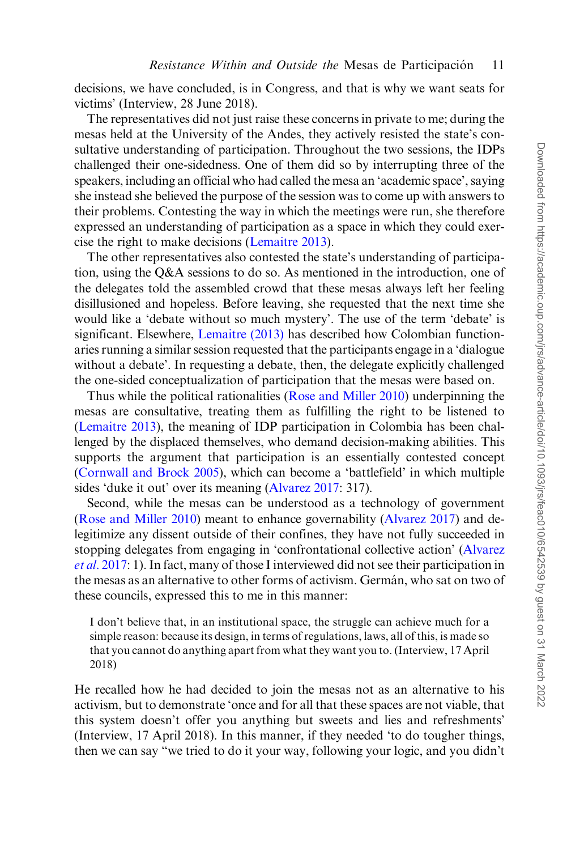decisions, we have concluded, is in Congress, and that is why we want seats for victims' (Interview, 28 June 2018).

The representatives did not just raise these concerns in private to me; during the mesas held at the University of the Andes, they actively resisted the state's consultative understanding of participation. Throughout the two sessions, the IDPs challenged their one-sidedness. One of them did so by interrupting three of the speakers, including an official who had called the mesa an 'academic space', saying she instead she believed the purpose of the session was to come up with answers to their problems. Contesting the way in which the meetings were run, she therefore expressed an understanding of participation as a space in which they could exercise the right to make decisions ([Lemaitre 2013](#page-15-0)).

The other representatives also contested the state's understanding of participation, using the Q&A sessions to do so. As mentioned in the introduction, one of the delegates told the assembled crowd that these mesas always left her feeling disillusioned and hopeless. Before leaving, she requested that the next time she would like a 'debate without so much mystery'. The use of the term 'debate' is significant. Elsewhere, [Lemaitre \(2013\)](#page-15-0) has described how Colombian functionaries running a similar session requested that the participants engage in a 'dialogue without a debate'. In requesting a debate, then, the delegate explicitly challenged the one-sided conceptualization of participation that the mesas were based on.

Thus while the political rationalities [\(Rose and Miller 2010\)](#page-16-0) underpinning the mesas are consultative, treating them as fulfilling the right to be listened to [\(Lemaitre 2013](#page-15-0)), the meaning of IDP participation in Colombia has been challenged by the displaced themselves, who demand decision-making abilities. This supports the argument that participation is an essentially contested concept [\(Cornwall and Brock 2005\)](#page-14-0), which can become a 'battlefield' in which multiple sides 'duke it out' over its meaning [\(Alvarez 2017:](#page-14-0) 317).

Second, while the mesas can be understood as a technology of government [\(Rose and Miller 2010](#page-16-0)) meant to enhance governability [\(Alvarez 2017](#page-14-0)) and delegitimize any dissent outside of their confines, they have not fully succeeded in stopping delegates from engaging in 'confrontational collective action' ([Alvarez](#page-14-0) [et al.](#page-14-0) 2017: 1). In fact, many of those I interviewed did not see their participation in the mesas as an alternative to other forms of activism. Germa´n, who sat on two of these councils, expressed this to me in this manner:

I don't believe that, in an institutional space, the struggle can achieve much for a simple reason: because its design, in terms of regulations, laws, all of this, is made so that you cannot do anything apart from what they want you to. (Interview, 17 April 2018)

He recalled how he had decided to join the mesas not as an alternative to his activism, but to demonstrate 'once and for all that these spaces are not viable, that this system doesn't offer you anything but sweets and lies and refreshments' (Interview, 17 April 2018). In this manner, if they needed 'to do tougher things, then we can say "we tried to do it your way, following your logic, and you didn't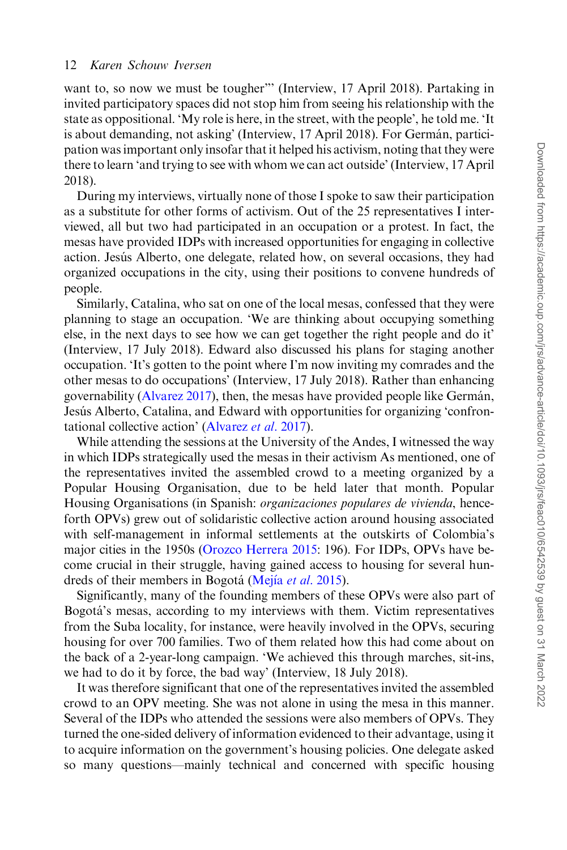want to, so now we must be tougher"" (Interview, 17 April 2018). Partaking in invited participatory spaces did not stop him from seeing his relationship with the state as oppositional. 'My role is here, in the street, with the people', he told me. 'It is about demanding, not asking' (Interview, 17 April 2018). For Germán, participation was important only insofar that it helped his activism, noting that they were there to learn 'and trying to see with whom we can act outside' (Interview, 17 April 2018).

During my interviews, virtually none of those I spoke to saw their participation as a substitute for other forms of activism. Out of the 25 representatives I interviewed, all but two had participated in an occupation or a protest. In fact, the mesas have provided IDPs with increased opportunities for engaging in collective action. Jesús Alberto, one delegate, related how, on several occasions, they had organized occupations in the city, using their positions to convene hundreds of people.

Similarly, Catalina, who sat on one of the local mesas, confessed that they were planning to stage an occupation. 'We are thinking about occupying something else, in the next days to see how we can get together the right people and do it' (Interview, 17 July 2018). Edward also discussed his plans for staging another occupation. 'It's gotten to the point where I'm now inviting my comrades and the other mesas to do occupations' (Interview, 17 July 2018). Rather than enhancing governability ([Alvarez 2017](#page-14-0)), then, the mesas have provided people like Germán, Jesús Alberto, Catalina, and Edward with opportunities for organizing 'confrontational collective action' ([Alvarez](#page-14-0) et al. 2017).

While attending the sessions at the University of the Andes, I witnessed the way in which IDPs strategically used the mesas in their activism As mentioned, one of the representatives invited the assembled crowd to a meeting organized by a Popular Housing Organisation, due to be held later that month. Popular Housing Organisations (in Spanish: organizaciones populares de vivienda, henceforth OPVs) grew out of solidaristic collective action around housing associated with self-management in informal settlements at the outskirts of Colombia's major cities in the 1950s [\(Orozco Herrera 2015:](#page-16-0) 196). For IDPs, OPVs have become crucial in their struggle, having gained access to housing for several hun-dreds of their members in Bogotá ([Mej](#page-16-0)ía [et al.](#page-16-0) 2015).

Significantly, many of the founding members of these OPVs were also part of Bogota´'s mesas, according to my interviews with them. Victim representatives from the Suba locality, for instance, were heavily involved in the OPVs, securing housing for over 700 families. Two of them related how this had come about on the back of a 2-year-long campaign. 'We achieved this through marches, sit-ins, we had to do it by force, the bad way' (Interview, 18 July 2018).

It was therefore significant that one of the representatives invited the assembled crowd to an OPV meeting. She was not alone in using the mesa in this manner. Several of the IDPs who attended the sessions were also members of OPVs. They turned the one-sided delivery of information evidenced to their advantage, using it to acquire information on the government's housing policies. One delegate asked so many questions—mainly technical and concerned with specific housing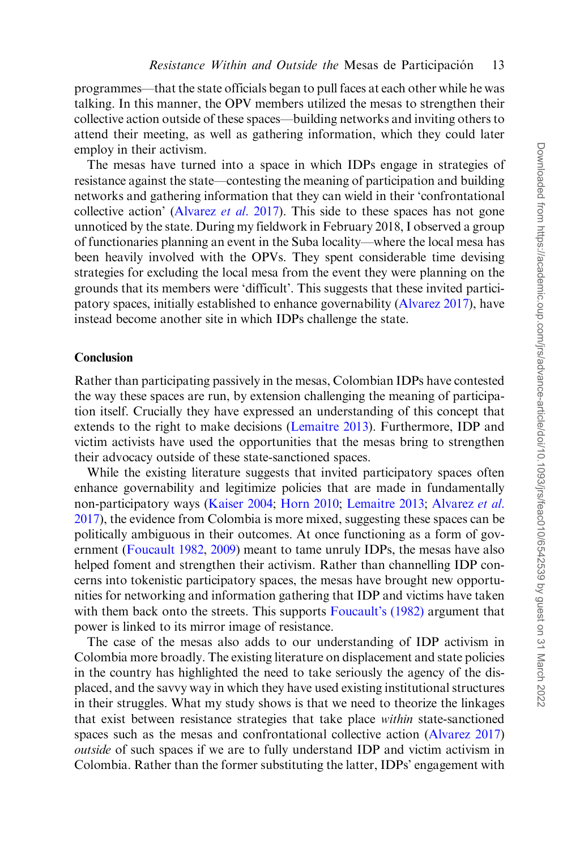programmes—that the state officials began to pull faces at each other while he was talking. In this manner, the OPV members utilized the mesas to strengthen their collective action outside of these spaces—building networks and inviting others to attend their meeting, as well as gathering information, which they could later employ in their activism.

The mesas have turned into a space in which IDPs engage in strategies of resistance against the state—contesting the meaning of participation and building networks and gathering information that they can wield in their 'confrontational collective action' [\(Alvarez](#page-14-0) *et al.* 2017). This side to these spaces has not gone unnoticed by the state. During my fieldwork in February 2018, I observed a group of functionaries planning an event in the Suba locality—where the local mesa has been heavily involved with the OPVs. They spent considerable time devising strategies for excluding the local mesa from the event they were planning on the grounds that its members were 'difficult'. This suggests that these invited participatory spaces, initially established to enhance governability [\(Alvarez 2017\)](#page-14-0), have instead become another site in which IDPs challenge the state.

#### **Conclusion**

Rather than participating passively in the mesas, Colombian IDPs have contested the way these spaces are run, by extension challenging the meaning of participation itself. Crucially they have expressed an understanding of this concept that extends to the right to make decisions ([Lemaitre 2013\)](#page-15-0). Furthermore, IDP and victim activists have used the opportunities that the mesas bring to strengthen their advocacy outside of these state-sanctioned spaces.

While the existing literature suggests that invited participatory spaces often enhance governability and legitimize policies that are made in fundamentally non-participatory ways ([Kaiser 2004;](#page-15-0) [Horn 2010;](#page-15-0) [Lemaitre 2013](#page-15-0); [Alvarez](#page-14-0) et al. [2017\)](#page-14-0), the evidence from Colombia is more mixed, suggesting these spaces can be politically ambiguous in their outcomes. At once functioning as a form of government ([Foucault 1982,](#page-15-0) [2009](#page-15-0)) meant to tame unruly IDPs, the mesas have also helped foment and strengthen their activism. Rather than channelling IDP concerns into tokenistic participatory spaces, the mesas have brought new opportunities for networking and information gathering that IDP and victims have taken with them back onto the streets. This supports [Foucault's \(1982\)](#page-15-0) argument that power is linked to its mirror image of resistance.

The case of the mesas also adds to our understanding of IDP activism in Colombia more broadly. The existing literature on displacement and state policies in the country has highlighted the need to take seriously the agency of the displaced, and the savvy way in which they have used existing institutional structures in their struggles. What my study shows is that we need to theorize the linkages that exist between resistance strategies that take place within state-sanctioned spaces such as the mesas and confrontational collective action ([Alvarez 2017\)](#page-14-0) outside of such spaces if we are to fully understand IDP and victim activism in Colombia. Rather than the former substituting the latter, IDPs' engagement with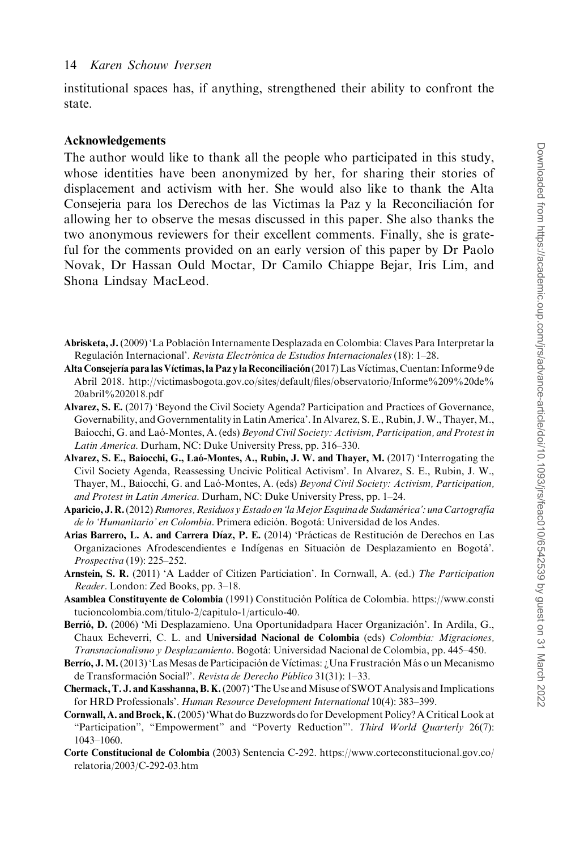<span id="page-14-0"></span>institutional spaces has, if anything, strengthened their ability to confront the state.

#### Acknowledgements

The author would like to thank all the people who participated in this study, whose identities have been anonymized by her, for sharing their stories of displacement and activism with her. She would also like to thank the Alta Consejeria para los Derechos de las Victimas la Paz y la Reconciliación for allowing her to observe the mesas discussed in this paper. She also thanks the two anonymous reviewers for their excellent comments. Finally, she is grateful for the comments provided on an early version of this paper by Dr Paolo Novak, Dr Hassan Ould Moctar, Dr Camilo Chiappe Bejar, Iris Lim, and Shona Lindsay MacLeod.

- Abrisketa, J. (2009) 'La Población Internamente Desplazada en Colombia: Claves Para Interpretar la Regulación Internacional'. Revista Electrónica de Estudios Internacionales (18): 1–28.
- Alta Consejería para las Víctimas, la Paz y la Reconciliación (2017) Las Víctimas, Cuentan: Informe 9 de Abril 2018. [http://victimasbogota.gov.co/sites/default/files/observatorio/Informe%209%20de%](http://victimasbogota.gov.co/sites/default/files/observatorio/Informe%209%20de%20abril%202018.pdf) [20abril%202018.pdf](http://victimasbogota.gov.co/sites/default/files/observatorio/Informe%209%20de%20abril%202018.pdf)
- Alvarez, S. E. (2017) 'Beyond the Civil Society Agenda? Participation and Practices of Governance, Governability, and Governmentality in Latin America'. In Alvarez, S. E., Rubin, J.W., Thayer,M., Baiocchi, G. and Laó-Montes, A. (eds) Beyond Civil Society: Activism, Participation, and Protest in Latin America. Durham, NC: Duke University Press, pp. 316–330.
- Alvarez, S. E., Baiocchi, G., Laó-Montes, A., Rubin, J. W. and Thayer, M. (2017) 'Interrogating the Civil Society Agenda, Reassessing Uncivic Political Activism'. In Alvarez, S. E., Rubin, J. W., Thayer, M., Baiocchi, G. and Lao-Montes, A. (eds) Beyond Civil Society: Activism, Participation, and Protest in Latin America. Durham, NC: Duke University Press, pp. 1–24.
- Aparicio, J. R. (2012) Rumores, Residuos y Estado en 'la Mejor Esquina de Sudamérica': una Cartografía de lo 'Humanitario' en Colombia. Primera edición. Bogotá: Universidad de los Andes.
- Arias Barrero, L. A. and Carrera Díaz, P. E. (2014) 'Prácticas de Restitución de Derechos en Las Organizaciones Afrodescendientes e Indígenas en Situación de Desplazamiento en Bogotá'. Prospectiva (19): 225–252.
- Arnstein, S. R. (2011) 'A Ladder of Citizen Particiation'. In Cornwall, A. (ed.) The Participation Reader. London: Zed Books, pp. 3–18.
- Asamblea Constituyente de Colombia (1991) Constitución Política de Colombia. [https://www.consti](https://www.constitucioncolombia.com/titulo-2/capitulo-1/articulo-40) [tucioncolombia.com/titulo-2/capitulo-1/articulo-40.](https://www.constitucioncolombia.com/titulo-2/capitulo-1/articulo-40)
- Berrió, D. (2006) 'Mi Desplazamieno. Una Oportunidadpara Hacer Organización'. In Ardila, G., Chaux Echeverri, C. L. and Universidad Nacional de Colombia (eds) Colombia: Migraciones, Transnacionalismo y Desplazamiento. Bogotá: Universidad Nacional de Colombia, pp. 445–450.
- Berrío, J. M. (2013) 'Las Mesas de Participación de Víctimas: ¿Una Frustración Más o un Mecanismo de Transformación Social?'. Revista de Derecho Público 31(31): 1–33.
- Chermack, T. J. and Kasshanna, B. K. (2007) 'The Use and Misuse of SWOT Analysis and Implications for HRD Professionals'. Human Resource Development International 10(4): 383–399.
- Cornwall, A. and Brock, K.(2005) 'What do Buzzwords do for Development Policy? A Critical Look at "Participation", "Empowerment" and "Poverty Reduction"'. Third World Quarterly 26(7): 1043–1060.
- Corte Constitucional de Colombia (2003) Sentencia C-292. [https://www.corteconstitucional.gov.co/](https://www.corteconstitucional.gov.co/relatoria/2003/C-292-03.htm) [relatoria/2003/C-292-03.htm](https://www.corteconstitucional.gov.co/relatoria/2003/C-292-03.htm)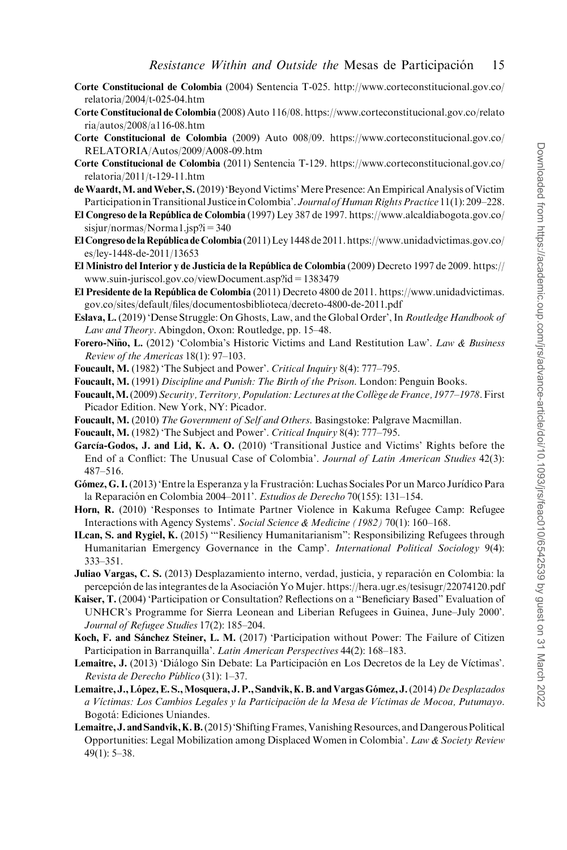- <span id="page-15-0"></span>Corte Constitucional de Colombia (2004) Sentencia T-025. [http://www.corteconstitucional.gov.co/](http://www.corteconstitucional.gov.co/relatoria/2004/t-025-04.htm) [relatoria/2004/t-025-04.htm](http://www.corteconstitucional.gov.co/relatoria/2004/t-025-04.htm)
- Corte Constitucional de Colombia (2008) Auto 116/08. [https://www.corteconstitucional.gov.co/relato](https://www.corteconstitucional.gov.co/relatoria/autos/2008/a116-08.htm) [ria/autos/2008/a116-08.htm](https://www.corteconstitucional.gov.co/relatoria/autos/2008/a116-08.htm)
- Corte Constitucional de Colombia (2009) Auto 008/09. [https://www.corteconstitucional.gov.co/](https://www.corteconstitucional.gov.co/RELATORIA/Autos/2009/A008-09.htm) [RELATORIA/Autos/2009/A008-09.htm](https://www.corteconstitucional.gov.co/RELATORIA/Autos/2009/A008-09.htm)
- Corte Constitucional de Colombia (2011) Sentencia T-129. [https://www.corteconstitucional.gov.co/](https://www.corteconstitucional.gov.co/relatoria/2011/t-129-11.htm) [relatoria/2011/t-129-11.htm](https://www.corteconstitucional.gov.co/relatoria/2011/t-129-11.htm)
- de Waardt, M. and Weber, S. (2019) 'Beyond Victims' Mere Presence: An Empirical Analysis of Victim Participation in Transitional Justice in Colombia'. Journal of Human Rights Practice 11(1): 209–228.
- El Congreso de la República de Colombia (1997) Ley 387 de 1997. [https://www.alcaldiabogota.gov.co/](https://www.alcaldiabogota.gov.co/sisjur/normas/Norma1.jsp?i=340) [sisjur/normas/Norma1.jsp?i=340](https://www.alcaldiabogota.gov.co/sisjur/normas/Norma1.jsp?i=340)
- El Congreso de la República de Colombia (2011) Ley 1448 de 2011. [https://www.unidadvictimas.gov.co/](https://www.unidadvictimas.gov.co/es/ley-1448-de-2011/13653) [es/ley-1448-de-2011/13653](https://www.unidadvictimas.gov.co/es/ley-1448-de-2011/13653)
- El Ministro del Interior y de Justicia de la República de Colombia (2009) Decreto 1997 de 2009. [https://](https://www.suin-juriscol.gov.co/viewDocument.asp?id=1383479) [www.suin-juriscol.gov.co/viewDocument.asp?id=1383479](https://www.suin-juriscol.gov.co/viewDocument.asp?id=1383479)
- El Presidente de la Repu´blica de Colombia (2011) Decreto 4800 de 2011. [https://www.unidadvictimas.](https://www.unidadvictimas.gov.co/sites/default/files/documentosbiblioteca/decreto-4800-de-2011.pdf) [gov.co/sites/default/files/documentosbiblioteca/decreto-4800-de-2011.pdf](https://www.unidadvictimas.gov.co/sites/default/files/documentosbiblioteca/decreto-4800-de-2011.pdf)
- Eslava, L. (2019) 'Dense Struggle: On Ghosts, Law, and the Global Order', In Routledge Handbook of Law and Theory. Abingdon, Oxon: Routledge, pp. 15–48.
- Forero-Niño, L. (2012) 'Colombia's Historic Victims and Land Restitution Law'. Law & Business Review of the Americas 18(1): 97–103.
- Foucault, M. (1982) 'The Subject and Power'. Critical Inquiry 8(4): 777–795.
- Foucault, M. (1991) Discipline and Punish: The Birth of the Prison. London: Penguin Books.
- Foucault, M. (2009) Security, Territory, Population: Lectures at the Collège de France, 1977–1978. First Picador Edition. New York, NY: Picador.
- Foucault, M. (2010) The Government of Self and Others. Basingstoke: Palgrave Macmillan.
- Foucault, M. (1982) 'The Subject and Power'. Critical Inquiry 8(4): 777–795.
- García-Godos, J. and Lid, K. A. O. (2010) 'Transitional Justice and Victims' Rights before the End of a Conflict: The Unusual Case of Colombia'. Journal of Latin American Studies 42(3): 487–516.
- Gómez, G. I. (2013) 'Entre la Esperanza y la Frustración: Luchas Sociales Por un Marco Jurídico Para la Reparación en Colombia 2004–2011'. Estudios de Derecho 70(155): 131–154.
- Horn, R. (2010) 'Responses to Intimate Partner Violence in Kakuma Refugee Camp: Refugee Interactions with Agency Systems'. Social Science & Medicine (1982) 70(1): 160–168.
- ILcan, S. and Rygiel, K. (2015) '"Resiliency Humanitarianism": Responsibilizing Refugees through Humanitarian Emergency Governance in the Camp'. *International Political Sociology* 9(4): 333–351.
- Juliao Vargas, C. S. (2013) Desplazamiento interno, verdad, justicia, y reparación en Colombia: la percepción de las integrantes de la Asociación Yo Mujer.<https://hera.ugr.es/tesisugr/22074120.pdf>
- Kaiser, T. (2004) 'Participation or Consultation? Reflections on a "Beneficiary Based" Evaluation of UNHCR's Programme for Sierra Leonean and Liberian Refugees in Guinea, June–July 2000'. Journal of Refugee Studies 17(2): 185–204.
- Koch, F. and Sánchez Steiner, L. M. (2017) 'Participation without Power: The Failure of Citizen Participation in Barranquilla'. Latin American Perspectives 44(2): 168–183.
- Lemaitre, J. (2013) 'Diálogo Sin Debate: La Participación en Los Decretos de la Ley de Víctimas'. Revista de Derecho Público (31): 1-37.
- Lemaitre, J., López, E. S., Mosquera, J. P., Sandvik, K. B. and Vargas Gómez, J. (2014) De Desplazados a Víctimas: Los Cambios Legales y la Participación de la Mesa de Víctimas de Mocoa, Putumayo. Bogota´: Ediciones Uniandes.
- Lemaitre, J. and Sandvik, K.B. (2015) 'Shifting Frames, Vanishing Resources, and Dangerous Political Opportunities: Legal Mobilization among Displaced Women in Colombia'. Law & Society Review 49(1): 5–38.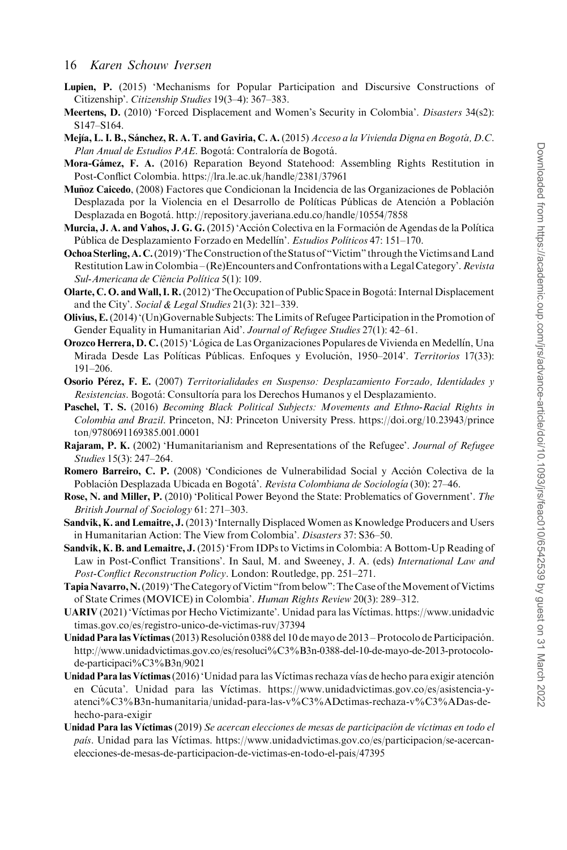- <span id="page-16-0"></span>Lupien, P. (2015) 'Mechanisms for Popular Participation and Discursive Constructions of Citizenship'. Citizenship Studies 19(3–4): 367–383.
- Meertens, D. (2010) 'Forced Displacement and Women's Security in Colombia'. Disasters 34(s2): S147–S164.
- Mejía, L. I. B., Sánchez, R. A. T. and Gaviria, C. A. (2015) Acceso a la Vivienda Digna en Bogotá, D.C. Plan Anual de Estudios PAE. Bogotá: Contraloría de Bogotá.
- Mora-Gámez, F. A. (2016) Reparation Beyond Statehood: Assembling Rights Restitution in Post-Conflict Colombia.<https://lra.le.ac.uk/handle/2381/37961>
- Muñoz Caicedo, (2008) Factores que Condicionan la Incidencia de las Organizaciones de Población Desplazada por la Violencia en el Desarrollo de Políticas Públicas de Atención a Población Desplazada en Bogotá.<http://repository.javeriana.edu.co/handle/10554/7858>
- Murcia, J. A. and Vahos, J. G. G. (2015) 'Acción Colectiva en la Formación de Agendas de la Política Pública de Desplazamiento Forzado en Medellín'. Estudios Políticos 47: 151-170.
- Ochoa Sterling, A. C. (2019) 'The Construction of the Status of "Victim" through the Victims and Land Restitution Law in Colombia – (Re)Encounters and Confrontations with a Legal Category'. Revista Sul-Americana de Ciência Política 5(1): 109.
- Olarte, C. O. and Wall, I. R. (2012) 'The Occupation of Public Space in Bogotá: Internal Displacement and the City'. Social & Legal Studies 21(3): 321–339.
- Olivius, E.(2014) '(Un)Governable Subjects: The Limits of Refugee Participation in the Promotion of Gender Equality in Humanitarian Aid'. Journal of Refugee Studies 27(1): 42–61.
- **Orozco Herrera, D. C.** (2015) 'Lógica de Las Organizaciones Populares de Vivienda en Medellín, Una Mirada Desde Las Políticas Públicas. Enfoques y Evolución, 1950-2014'. Territorios 17(33): 191–206.
- **Osorio Pérez, F. E.** (2007) Territorialidades en Suspenso: Desplazamiento Forzado, Identidades y Resistencias. Bogotá: Consultoría para los Derechos Humanos y el Desplazamiento.
- Paschel, T. S. (2016) Becoming Black Political Subjects: Movements and Ethno-Racial Rights in Colombia and Brazil. Princeton, NJ: Princeton University Press. [https://doi.org/10.23943/prince](https://doi.org/10.23943/princeton/9780691169385.001.0001) [ton/9780691169385.001.0001](https://doi.org/10.23943/princeton/9780691169385.001.0001)
- Rajaram, P. K. (2002) 'Humanitarianism and Representations of the Refugee'. Journal of Refugee Studies 15(3): 247–264.
- Romero Barreiro, C. P. (2008) 'Condiciones de Vulnerabilidad Social y Acción Colectiva de la Población Desplazada Ubicada en Bogotá'. *Revista Colombiana de Sociología* (30): 27–46.
- Rose, N. and Miller, P. (2010) 'Political Power Beyond the State: Problematics of Government'. The British Journal of Sociology 61: 271–303.
- Sandvik, K. and Lemaitre, J. (2013) 'Internally Displaced Women as Knowledge Producers and Users in Humanitarian Action: The View from Colombia'. Disasters 37: S36–50.
- Sandvik, K. B. and Lemaitre, J. (2015) 'From IDPs to Victims in Colombia: A Bottom-Up Reading of Law in Post-Conflict Transitions'. In Saul, M. and Sweeney, J. A. (eds) International Law and Post-Conflict Reconstruction Policy. London: Routledge, pp. 251–271.
- TapiaNavarro,N.(2019)'The Category of Victim "from below":The Case of theMovement of Victims of State Crimes (MOVICE) in Colombia'. Human Rights Review 20(3): 289–312.
- UARIV (2021) 'Víctimas por Hecho Victimizante'. Unidad para las Víctimas. [https://www.unidadvic](https://www.unidadvictimas.gov.co/es/registro-unico-de-victimas-ruv/37394) [timas.gov.co/es/registro-unico-de-victimas-ruv/37394](https://www.unidadvictimas.gov.co/es/registro-unico-de-victimas-ruv/37394)
- Unidad Para las Víctimas (2013) Resolución 0388 del 10 de mayo de 2013 Protocolo de Participación. [http://www.unidadvictimas.gov.co/es/resoluci%C3%B3n-0388-del-10-de-mayo-de-2013-protocolo](http://www.unidadvictimas.gov.co/es/resoluci%C3%B3n-0388-del-10-de-mayo-de-2013-protocolo-de-participaci%C3%B3n/9021)[de-participaci%C3%B3n/9021](http://www.unidadvictimas.gov.co/es/resoluci%C3%B3n-0388-del-10-de-mayo-de-2013-protocolo-de-participaci%C3%B3n/9021)
- Unidad Para las Víctimas (2016) 'Unidad para las Víctimas rechaza vías de hecho para exigir atención en Cúcuta'. Unidad para las Víctimas. [https://www.unidadvictimas.gov.co/es/asistencia-y](https://www.unidadvictimas.gov.co/es/asistencia-y-atenci%C3%B3n-humanitaria/unidad-para-las-v%C3%ADctimas-rechaza-v%C3%ADas-de-hecho-para-exigir)[atenci%C3%B3n-humanitaria/unidad-para-las-v%C3%ADctimas-rechaza-v%C3%ADas-de](https://www.unidadvictimas.gov.co/es/asistencia-y-atenci%C3%B3n-humanitaria/unidad-para-las-v%C3%ADctimas-rechaza-v%C3%ADas-de-hecho-para-exigir)[hecho-para-exigir](https://www.unidadvictimas.gov.co/es/asistencia-y-atenci%C3%B3n-humanitaria/unidad-para-las-v%C3%ADctimas-rechaza-v%C3%ADas-de-hecho-para-exigir)
- Unidad Para las Víctimas (2019) Se acercan elecciones de mesas de participación de víctimas en todo el país. Unidad para las Víctimas. [https://www.unidadvictimas.gov.co/es/participacion/se-acercan](https://www.unidadvictimas.gov.co/es/participacion/se-acercan-elecciones-de-mesas-de-participacion-de-victimas-en-todo-el-pais/47395)[elecciones-de-mesas-de-participacion-de-victimas-en-todo-el-pais/47395](https://www.unidadvictimas.gov.co/es/participacion/se-acercan-elecciones-de-mesas-de-participacion-de-victimas-en-todo-el-pais/47395)